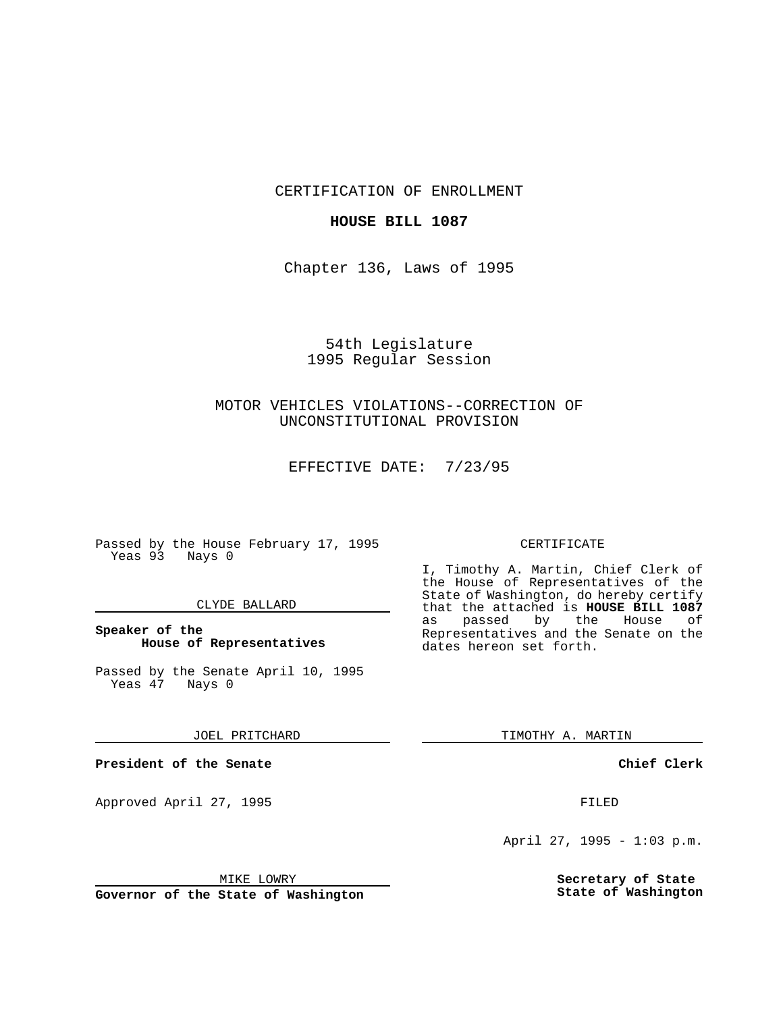CERTIFICATION OF ENROLLMENT

## **HOUSE BILL 1087**

Chapter 136, Laws of 1995

# 54th Legislature 1995 Regular Session

# MOTOR VEHICLES VIOLATIONS--CORRECTION OF UNCONSTITUTIONAL PROVISION

EFFECTIVE DATE: 7/23/95

Passed by the House February 17, 1995 Yeas 93 Nays 0

## CLYDE BALLARD

## **Speaker of the House of Representatives**

Passed by the Senate April 10, 1995<br>Yeas 47 Nays 0 Yeas 47

#### JOEL PRITCHARD

**President of the Senate**

Approved April 27, 1995 FILED

## MIKE LOWRY

**Governor of the State of Washington**

#### CERTIFICATE

I, Timothy A. Martin, Chief Clerk of the House of Representatives of the State of Washington, do hereby certify that the attached is **HOUSE BILL 1087** as passed by the Representatives and the Senate on the dates hereon set forth.

TIMOTHY A. MARTIN

## **Chief Clerk**

April 27, 1995 - 1:03 p.m.

**Secretary of State State of Washington**